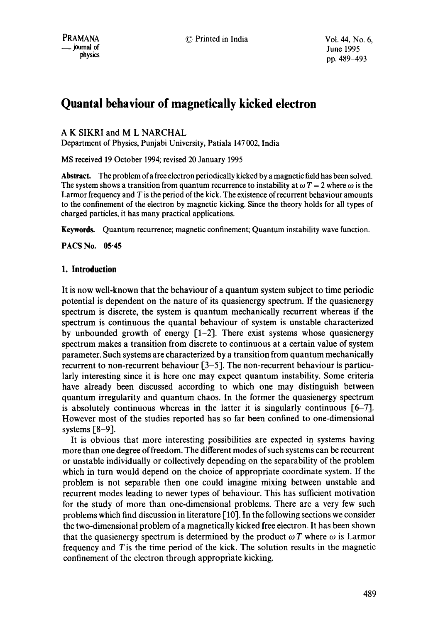# **Quantal behaviour of magnetically kicked electron**

A K SIKRI and M L NARCHAL

Department of Physics, Punjabi University, Patiala 147 002, India

MS received 19 October 1994; revised 20 January 1995

**Abstract.** The problem of a free electron periodically kicked by a magnetic field has been solved. The system shows a transition from quantum recurrence to instability at  $\omega T = 2$  where  $\omega$  is the Larmor frequency and T is the period of the kick. The existence of recurrent behaviour amounts to the confinement of the electron by magnetic kicking. Since the theory holds for all types of charged particles, it has many practical applications.

**Keywords.** Quantum recurrence; magnetic confinement; Quantum instability wave function.

**PACS No. 05:45** 

## **1. Introduction**

It is now well-known that the behaviour of a quantum system subject to time periodic potential is dependent on the nature of its quasienergy spectrum. If the quasienergy spectrum is discrete, the system is quantum mechanically recurrent whereas if the spectrum is continuous the quantal behaviour of system is unstable characterized by unbounded growth of energy  $[1-2]$ . There exist systems whose quasienergy spectrum makes a transition from discrete to continuous at a certain value of system parameter. Such systems are characterized by a transition from quantum mechanically recurrent to non-recurrent behaviour [3-5]. The non-recurrent behaviour is particularly interesting since it is here one may expect quantum instability. Some criteria have already been discussed according to which one may distinguish between quantum irregularity and quantum chaos. In the former the quasienergy spectrum is absolutely continuous whereas in the latter it is singularly continuous  $[6-7]$ . However most of the studies reported has so far been confined to one-dimensional systems  $\lceil 8-9 \rceil$ .

It is obvious that more interesting possibilities are expected in systems having more than one degree of freedom. The different modes of such systems can be recurrent or unstable individually or collectively depending on the separability of the problem which in turn would depend on the choice of appropriate coordinate system. If the problem is not separable then one could imagine mixing between unstable and recurrent modes leading to newer types of behaviour. This has sufficient motivation for the study of more than one-dimensional problems. There are a very few such problems which find discussion in literature [ 10]. In the following sections we consider the two-dimensional problem of a magnetically kicked free electron. It has been shown that the quasienergy spectrum is determined by the product  $\omega T$  where  $\omega$  is Larmor frequency and Tis the time period of the kick. The solution results in the magnetic confinement of the electron through appropriate kicking.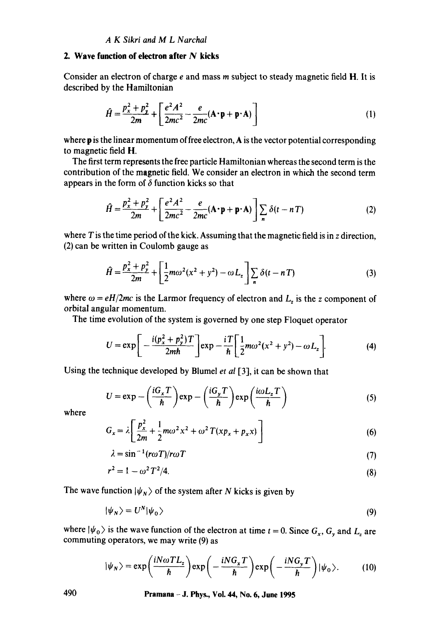# **2. Wave function of electron after N kicks**

Consider an electron of charge e and mass m subject to steady magnetic field H. It is described by the Hamiltonian

$$
\hat{H} = \frac{p_x^2 + p_y^2}{2m} + \left[ \frac{e^2 A^2}{2mc^2} - \frac{e}{2mc} (\mathbf{A} \cdot \mathbf{p} + \mathbf{p} \cdot \mathbf{A}) \right]
$$
(1)

where **p** is the linear momentum of free electron, A is the vector potential corresponding to magnetic field H.

The first term represents the free particle Hamiltonian whereas the second term is the contribution of the magnetic field. We consider an electron in which the second term appears in the form of  $\delta$  function kicks so that

$$
\hat{H} = \frac{p_x^2 + p_y^2}{2m} + \left[ \frac{e^2 A^2}{2mc^2} - \frac{e}{2mc} (\mathbf{A} \cdot \mathbf{p} + \mathbf{p} \cdot \mathbf{A}) \right] \sum_n \delta(t - nT) \tag{2}
$$

where  $T$  is the time period of the kick. Assuming that the magnetic field is in  $z$  direction, (2) can be written in Coulomb gauge as

$$
\hat{H} = \frac{p_x^2 + p_y^2}{2m} + \left[ \frac{1}{2} m \omega^2 (x^2 + y^2) - \omega L_z \right] \sum_n \delta(t - nT) \tag{3}
$$

where  $\omega = eH/2mc$  is the Larmor frequency of electron and  $L_z$  is the z component of orbital angular momentum.

The time evolution of the system is governed by one step Floquet operator

$$
U = \exp\left[-\frac{i(p_x^2 + p_y^2)T}{2m\hbar}\right] \exp -\frac{iT}{\hbar} \left[\frac{1}{2}m\omega^2(x^2 + y^2) - \omega L_z\right].
$$
 (4)

Using the technique developed by Blumel *et al* [3], it can be shown that

$$
U = \exp - \left(\frac{iG_x T}{\hbar}\right) \exp - \left(\frac{iG_y T}{\hbar}\right) \exp \left(\frac{i\omega L_z T}{\hbar}\right) \tag{5}
$$

where

$$
G_x = \lambda \left[ \frac{p_x^2}{2m} + \frac{1}{2} m \omega^2 x^2 + \omega^2 T (x p_x + p_x x) \right]
$$
 (6)

$$
\lambda = \sin^{-1}(r\omega T)/r\omega T \tag{7}
$$

$$
r^2 = 1 - \omega^2 T^2 / 4. \tag{8}
$$

The wave function  $|\psi_N\rangle$  of the system after N kicks is given by

$$
|\psi_N\rangle = U^N |\psi_0\rangle \tag{9}
$$

where  $|\psi_0\rangle$  is the wave function of the electron at time  $t = 0$ . Since  $G_x, G_y$  and  $L_z$  are commuting operators, we may write (9) as

$$
|\psi_N\rangle = \exp\left(\frac{iN\omega T L_z}{\hbar}\right) \exp\left(-\frac{iNG_x T}{\hbar}\right) \exp\left(-\frac{iNG_y T}{\hbar}\right) |\psi_0\rangle. \tag{10}
$$

**490 Pramana - J. Phys., Vol. 44, No. 6, June 1995**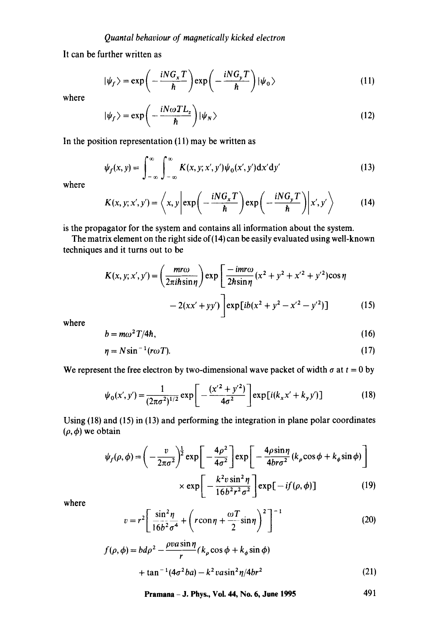It can be further written as

$$
|\psi_f\rangle = \exp\left(-\frac{iNG_xT}{\hbar}\right)\exp\left(-\frac{iNG_yT}{\hbar}\right)|\psi_0\rangle
$$
 (11)

where

$$
|\psi_f\rangle = \exp\left(-\frac{iN\omega T L_z}{\hbar}\right)|\psi_N\rangle
$$
 (12)

In the position representation  $(11)$  may be written as

$$
\psi_f(x, y) = \int_{-\infty}^{\infty} \int_{-\infty}^{\infty} K(x, y; x', y') \psi_0(x', y') dx' dy'
$$
 (13)

where

$$
K(x, y; x', y') = \left\langle x, y \left| \exp\left( -\frac{i N G_x T}{\hbar} \right) \exp\left( -\frac{i N G_y T}{\hbar} \right) \right| x', y' \right\rangle \tag{14}
$$

is the propagator for the system and contains all information about the system.

The matrix element on the right side of (14) can be easily evaluated using well-known techniques and it turns out to be

$$
K(x, y; x', y') = \left(\frac{m r \omega}{2\pi i \hbar \sin \eta}\right) \exp\left[\frac{-im r \omega}{2\hbar \sin \eta} (x^2 + y^2 + x'^2 + y'^2) \cos \eta - 2(xx' + yy')\right] \exp[i b(x^2 + y^2 - x'^2 - y'^2)] \tag{15}
$$

where

$$
b = m\omega^2 T/4\hbar, \tag{16}
$$

$$
\eta = N \sin^{-1} (r \omega T). \tag{17}
$$

We represent the free electron by two-dimensional wave packet of width  $\sigma$  at  $t = 0$  by

$$
\psi_0(x', y') = \frac{1}{(2\pi\sigma^2)^{1/2}} \exp\left[-\frac{(x'^2 + y'^2)}{4\sigma^2}\right] \exp[i(k_x x' + k_y y')] \tag{18}
$$

Using (18) and (15) in (13) and performing the integration in plane polar coordinates  $(\rho, \phi)$  we obtain

$$
\psi_f(\rho, \phi) = \left(-\frac{v}{2\pi\sigma^2}\right)^{\frac{1}{2}} \exp\left[-\frac{4\rho^2}{4\sigma^2}\right] \exp\left[-\frac{4\rho\sin\eta}{4br\sigma^2}(k_\rho\cos\phi + k_\phi\sin\phi)\right]
$$

$$
\times \exp\left[-\frac{k^2v\sin^2\eta}{16b^2r^2\sigma^2}\right] \exp\left[-if(\rho, \phi)\right] \tag{19}
$$

where

$$
v = r^2 \left[ \frac{\sin^2 \eta}{16b^2 \sigma^4} + \left( r \cos \eta + \frac{\omega T}{2} \sin \eta \right)^2 \right]^{-1}
$$
 (20)

$$
f(\rho, \phi) = bd\rho^2 - \frac{\rho va\sin\eta}{r}(k_\rho\cos\phi + k_\phi\sin\phi)
$$
  
+ 
$$
\tan^{-1}(4\sigma^2 ba) - k^2\nu\sin^2\eta/4br^2
$$
 (21)

**Pramana - J. Phys., Vol. 44, No. 6, June 1995 491**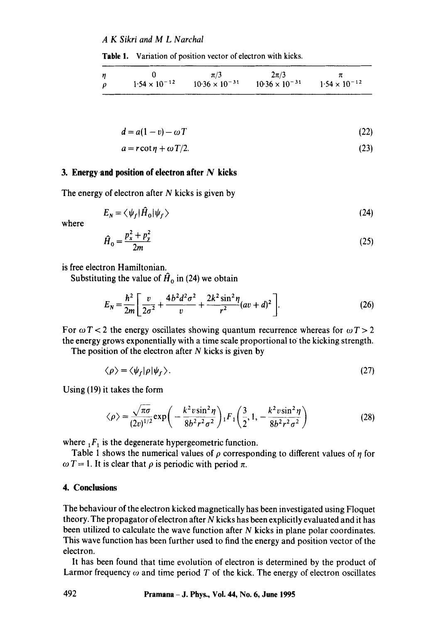#### *A K Sikri and M L Narchal*

**Table** 1. Variation of position vector of electron with kicks.

| n      |                        | $\pi/3$                 | $2\pi/3$                |                        |
|--------|------------------------|-------------------------|-------------------------|------------------------|
| $\rho$ | $1.54 \times 10^{-12}$ | $10.36 \times 10^{-31}$ | $10.36 \times 10^{-31}$ | $1.54 \times 10^{-12}$ |

$$
d = a(1 - v) - \omega T \tag{22}
$$

$$
a = r \cot \eta + \omega T/2. \tag{23}
$$

#### **3. Energyand position of electron after N kicks**

The energy of electron after  $N$  kicks is given by

$$
E_N = \langle \psi_f | \hat{H}_0 | \psi_f \rangle \tag{24}
$$

where

$$
\hat{H}_0 = \frac{p_x^2 + p_y^2}{2m} \tag{25}
$$

is free electron Hamiltonian.

Substituting the value of  $\hat{H}_0$  in (24) we obtain

$$
E_N = \frac{\hbar^2}{2m} \left[ \frac{v}{2\sigma^2} + \frac{4b^2 d^2 \sigma^2}{v} + \frac{2k^2 \sin^2 \eta}{r^2} (av + d)^2 \right].
$$
 (26)

For  $\omega T < 2$  the energy oscillates showing quantum recurrence whereas for  $\omega T > 2$ the energy grows exponentially with a time scale proportional to the kicking strength.

The position of the electron after  $N$  kicks is given by

$$
\langle \rho \rangle = \langle \psi_f | \rho | \psi_f \rangle. \tag{27}
$$

Using (19) it takes the form

$$
\langle \rho \rangle = \frac{\sqrt{\pi \sigma}}{(2v)^{1/2}} \exp\left(-\frac{k^2 v \sin^2 \eta}{8b^2 r^2 \sigma^2}\right) {}_1F_1\left(\frac{3}{2}, 1, -\frac{k^2 v \sin^2 \eta}{8b^2 r^2 \sigma^2}\right)
$$
 (28)

where  $_1F_1$  is the degenerate hypergeometric function.

Table 1 shows the numerical values of  $\rho$  corresponding to different values of  $\eta$  for  $\omega T = 1$ . It is clear that  $\rho$  is periodic with period  $\pi$ .

#### **4. Conclusions**

The behaviour of the electron kicked magnetically has been investigated using Floquet theory. The propagator of electron after  $N$  kicks has been explicitly evaluated and it has been utilized to calculate the wave function after  $N$  kicks in plane polar coordinates. This wave function has been further used to find the energy and position vector of the electron.

It has been found that time evolution of electron is determined by the product of Larmor frequency  $\omega$  and time period T of the kick. The energy of electron oscillates